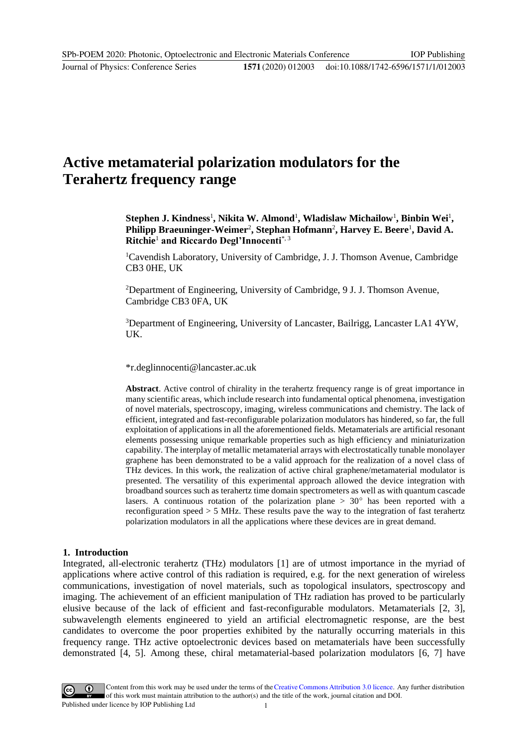# **Active metamaterial polarization modulators for the Terahertz frequency range**

Stephen J. Kindness<sup>1</sup>, Nikita W. Almond<sup>1</sup>, Wladislaw Michailow<sup>1</sup>, Binbin Wei<sup>1</sup>, Philipp Braeuninger-Weimer<sup>2</sup>, Stephan Hofmann<sup>2</sup>, Harvey E. Beere<sup>1</sup>, David A. **Ritchie**<sup>1</sup> **and Riccardo Degl'Innocenti**\*, <sup>3</sup>

<sup>1</sup>Cavendish Laboratory, University of Cambridge, J. J. Thomson Avenue, Cambridge CB3 0HE, UK

<sup>2</sup>Department of Engineering, University of Cambridge, 9 J. J. Thomson Avenue, Cambridge CB3 0FA, UK

<sup>3</sup>Department of Engineering, University of Lancaster, Bailrigg, Lancaster LA1 4YW, UK.

\*r.deglinnocenti@lancaster.ac.uk

**Abstract**. Active control of chirality in the terahertz frequency range is of great importance in many scientific areas, which include research into fundamental optical phenomena, investigation of novel materials, spectroscopy, imaging, wireless communications and chemistry. The lack of efficient, integrated and fast-reconfigurable polarization modulators has hindered, so far, the full exploitation of applications in all the aforementioned fields. Metamaterials are artificial resonant elements possessing unique remarkable properties such as high efficiency and miniaturization capability. The interplay of metallic metamaterial arrays with electrostatically tunable monolayer graphene has been demonstrated to be a valid approach for the realization of a novel class of THz devices. In this work, the realization of active chiral graphene/metamaterial modulator is presented. The versatility of this experimental approach allowed the device integration with broadband sources such as terahertz time domain spectrometers as well as with quantum cascade lasers. A continuous rotation of the polarization plane  $> 30^{\circ}$  has been reported with a reconfiguration speed  $> 5$  MHz. These results pave the way to the integration of fast terahertz polarization modulators in all the applications where these devices are in great demand.

### **1. Introduction**

Integrated, all-electronic terahertz (THz) modulators [1] are of utmost importance in the myriad of applications where active control of this radiation is required, e.g. for the next generation of wireless communications, investigation of novel materials, such as topological insulators, spectroscopy and imaging. The achievement of an efficient manipulation of THz radiation has proved to be particularly elusive because of the lack of efficient and fast-reconfigurable modulators. Metamaterials [2, 3], subwavelength elements engineered to yield an artificial electromagnetic response, are the best candidates to overcome the poor properties exhibited by the naturally occurring materials in this frequency range. THz active optoelectronic devices based on metamaterials have been successfully demonstrated [4, 5]. Among these, chiral metamaterial-based polarization modulators [6, 7] have

Content from this work may be used under the terms of the Creative Commons Attribution 3.0 licence. Any further distribution of this work must maintain attribution to the author(s) and the title of the work, journal citation and DOI. Published under licence by IOP Publishing Ltd 1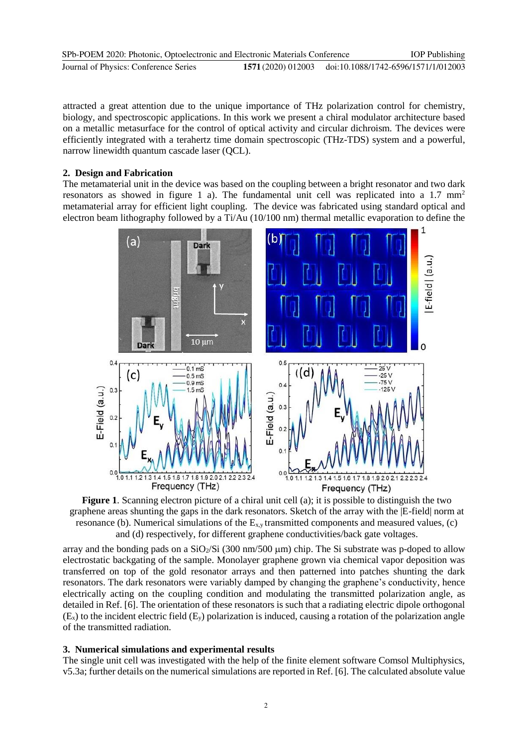| SPb-POEM 2020: Photonic, Optoelectronic and Electronic Materials Conference |                    | <b>IOP</b> Publishing               |
|-----------------------------------------------------------------------------|--------------------|-------------------------------------|
| Journal of Physics: Conference Series                                       | 1571 (2020) 012003 | doi:10.1088/1742-6596/1571/1/012003 |

attracted a great attention due to the unique importance of THz polarization control for chemistry, biology, and spectroscopic applications. In this work we present a chiral modulator architecture based on a metallic metasurface for the control of optical activity and circular dichroism. The devices were efficiently integrated with a terahertz time domain spectroscopic (THz-TDS) system and a powerful, narrow linewidth quantum cascade laser (QCL).

## **2. Design and Fabrication**

The metamaterial unit in the device was based on the coupling between a bright resonator and two dark resonators as showed in figure 1 a). The fundamental unit cell was replicated into a 1.7 mm<sup>2</sup> metamaterial array for efficient light coupling. The device was fabricated using standard optical and electron beam lithography followed by a Ti/Au (10/100 nm) thermal metallic evaporation to define the



**Figure 1**. Scanning electron picture of a chiral unit cell (a); it is possible to distinguish the two graphene areas shunting the gaps in the dark resonators. Sketch of the array with the |E-field| norm at resonance (b). Numerical simulations of the  $E_{x,y}$  transmitted components and measured values, (c) and (d) respectively, for different graphene conductivities/back gate voltages.

array and the bonding pads on a  $SiO_2/Si$  (300 nm/500 µm) chip. The Si substrate was p-doped to allow electrostatic backgating of the sample. Monolayer graphene grown via chemical vapor deposition was transferred on top of the gold resonator arrays and then patterned into patches shunting the dark resonators. The dark resonators were variably damped by changing the graphene's conductivity, hence electrically acting on the coupling condition and modulating the transmitted polarization angle, as detailed in Ref. [6]. The orientation of these resonators is such that a radiating electric dipole orthogonal  $(E_{x})$  to the incident electric field  $(E_{y})$  polarization is induced, causing a rotation of the polarization angle of the transmitted radiation.

### **3. Numerical simulations and experimental results**

The single unit cell was investigated with the help of the finite element software Comsol Multiphysics, v5.3a; further details on the numerical simulations are reported in Ref. [6]. The calculated absolute value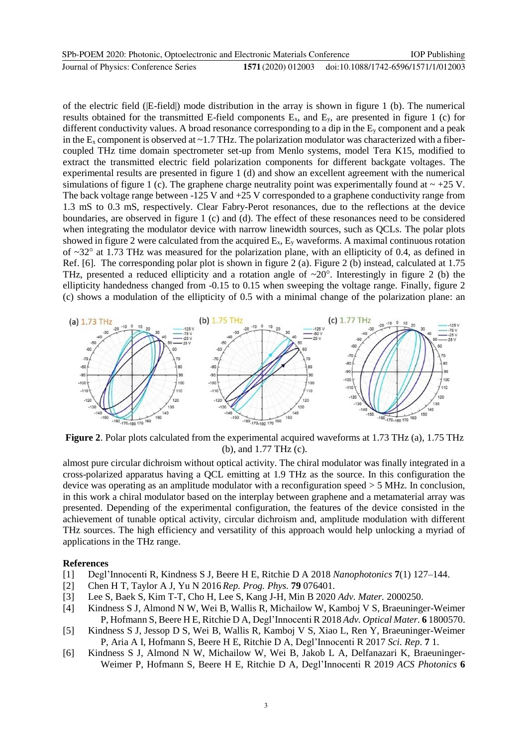| SPb-POEM 2020: Photonic, Optoelectronic and Electronic Materials Conference |                    | <b>IOP</b> Publishing               |
|-----------------------------------------------------------------------------|--------------------|-------------------------------------|
| Journal of Physics: Conference Series                                       | 1571 (2020) 012003 | doi:10.1088/1742-6596/1571/1/012003 |

of the electric field (|E-field|) mode distribution in the array is shown in figure 1 (b). The numerical results obtained for the transmitted E-field components  $E<sub>x</sub>$ , and  $E<sub>y</sub>$ , are presented in figure 1 (c) for different conductivity values. A broad resonance corresponding to a dip in the  $E_y$  component and a peak in the  $E_x$  component is observed at  $\sim$  1.7 THz. The polarization modulator was characterized with a fibercoupled THz time domain spectrometer set-up from Menlo systems, model Tera K15, modified to extract the transmitted electric field polarization components for different backgate voltages. The experimental results are presented in figure 1 (d) and show an excellent agreement with the numerical simulations of figure 1 (c). The graphene charge neutrality point was experimentally found at  $\sim$  +25 V. The back voltage range between -125 V and +25 V corresponded to a graphene conductivity range from 1.3 mS to 0.3 mS, respectively. Clear Fabry-Perot resonances, due to the reflections at the device boundaries, are observed in figure 1 (c) and (d). The effect of these resonances need to be considered when integrating the modulator device with narrow linewidth sources, such as QCLs. The polar plots showed in figure 2 were calculated from the acquired  $E_x$ ,  $E_y$  waveforms. A maximal continuous rotation of  $\sim$ 32 $\degree$  at 1.73 THz was measured for the polarization plane, with an ellipticity of 0.4, as defined in Ref. [6]. The corresponding polar plot is shown in figure 2 (a). Figure 2 (b) instead, calculated at 1.75 THz, presented a reduced ellipticity and a rotation angle of  $\sim 20^\circ$ . Interestingly in figure 2 (b) the ellipticity handedness changed from -0.15 to 0.15 when sweeping the voltage range. Finally, figure 2 (c) shows a modulation of the ellipticity of 0.5 with a minimal change of the polarization plane: an



**Figure 2**. Polar plots calculated from the experimental acquired waveforms at 1.73 THz (a), 1.75 THz (b), and 1.77 THz (c).

almost pure circular dichroism without optical activity. The chiral modulator was finally integrated in a cross-polarized apparatus having a QCL emitting at 1.9 THz as the source. In this configuration the device was operating as an amplitude modulator with a reconfiguration speed > 5 MHz. In conclusion, in this work a chiral modulator based on the interplay between graphene and a metamaterial array was presented. Depending of the experimental configuration, the features of the device consisted in the achievement of tunable optical activity, circular dichroism and, amplitude modulation with different THz sources. The high efficiency and versatility of this approach would help unlocking a myriad of applications in the THz range.

#### **References**

- [1] Degl'Innocenti R, Kindness S J, Beere H E, Ritchie D A 2018 *Nanophotonics* **7**(1) 127–144.
- [2] Chen H T, Taylor A J, Yu N 2016 *Rep. Prog. Phys.* **79** 076401.
- [3] Lee S, Baek S, Kim T‐T, Cho H, Lee S, Kang J‐H, Min B 2020 *Adv. Mater.* 2000250.
- [4] Kindness S J, Almond N W, Wei B, Wallis R, Michailow W, Kamboj V S, Braeuninger-Weimer P, Hofmann S, Beere H E, Ritchie D A, Degl'Innocenti R 2018 *Adv. Optical Mater.* **6** 1800570.
- [5] Kindness S J, Jessop D S, Wei B, Wallis R, Kamboj V S, Xiao L, Ren Y, Braeuninger-Weimer P, Aria A I, Hofmann S, Beere H E, Ritchie D A, Degl'Innocenti R 2017 *Sci. Rep*. **7** 1.
- [6] Kindness S J, Almond N W, Michailow W, Wei B, Jakob L A, Delfanazari K, Braeuninger-Weimer P, Hofmann S, Beere H E, Ritchie D A, Degl'Innocenti R 2019 *ACS Photonics* **6**